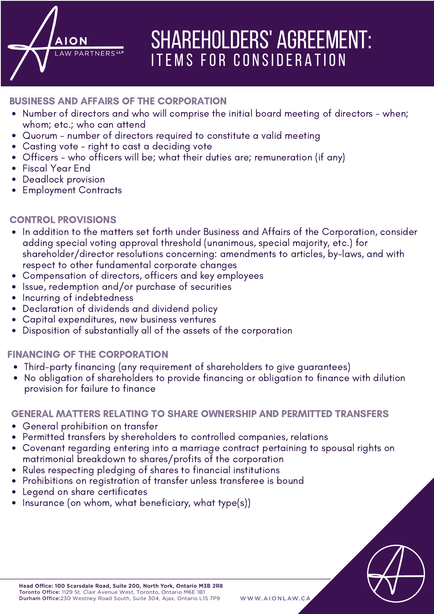# SHAREHOLDERS' AGREEMENT: ITEMS FOR CONSIDERATION

## BUSINESS AND AFFAIRS OF THE CORPORATION

AW PARTNERS<sup>L</sup>

- Number of directors and who will comprise the initial board meeting of directors when; whom; etc.; who can attend
- Quorum number of directors required to constitute a valid meeting
- Casting vote right to cast a deciding vote
- Officers who officers will be; what their duties are; remuneration (if any)
- Fiscal Year End
- Deadlock provision
- Employment Contracts

### CONTROL PROVISIONS

- In addition to the matters set forth under Business and Affairs of the Corporation, consider adding special voting approval threshold (unanimous, special majority, etc.) for shareholder/director resolutions concerning: amendments to articles, by-laws, and with respect to other fundamental corporate changes
- Compensation of directors, officers and key employees
- Issue, redemption and/or purchase of securities
- Incurring of indebtedness
- Declaration of dividends and dividend policy
- Capital expenditures, new business ventures
- Disposition of substantially all of the assets of the corporation

# FINANCING OF THE CORPORATION

- Third-party financing (any requirement of shareholders to give guarantees)
- No obligation of shareholders to provide financing or obligation to finance with dilution provision for failure to finance

#### GENERAL MATTERS RELATING TO SHARE OWNERSHIP AND PERMITTED TRANSFERS

- General prohibition on transfer
- Permitted transfers by shereholders to controlled companies, relations
- Covenant regarding entering into a marriage contract pertaining to spousal rights on matrimonial breakdown to shares/profits of the corporation
- Rules respecting pledging of shares to financial institutions
- Prohibitions on registration of transfer unless transferee is bound
- Legend on share certificates
- Insurance (on whom, what beneficiary, what type(s))